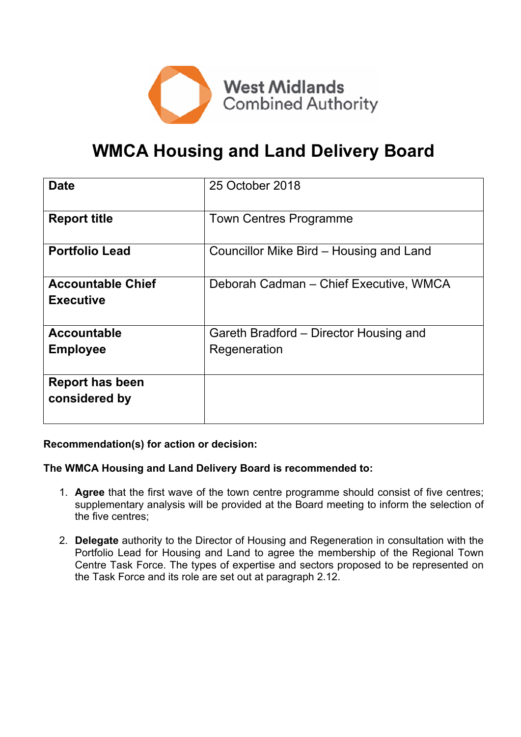

# **WMCA Housing and Land Delivery Board**

| <b>Date</b>                                  | 25 October 2018                         |
|----------------------------------------------|-----------------------------------------|
| <b>Report title</b>                          | <b>Town Centres Programme</b>           |
| <b>Portfolio Lead</b>                        | Councillor Mike Bird – Housing and Land |
| <b>Accountable Chief</b><br><b>Executive</b> | Deborah Cadman – Chief Executive, WMCA  |
| <b>Accountable</b>                           | Gareth Bradford – Director Housing and  |
| <b>Employee</b>                              | Regeneration                            |
| <b>Report has been</b><br>considered by      |                                         |

**Recommendation(s) for action or decision:**

# **The WMCA Housing and Land Delivery Board is recommended to:**

- 1. **Agree** that the first wave of the town centre programme should consist of five centres; supplementary analysis will be provided at the Board meeting to inform the selection of the five centres;
- 2. **Delegate** authority to the Director of Housing and Regeneration in consultation with the Portfolio Lead for Housing and Land to agree the membership of the Regional Town Centre Task Force. The types of expertise and sectors proposed to be represented on the Task Force and its role are set out at paragraph 2.12.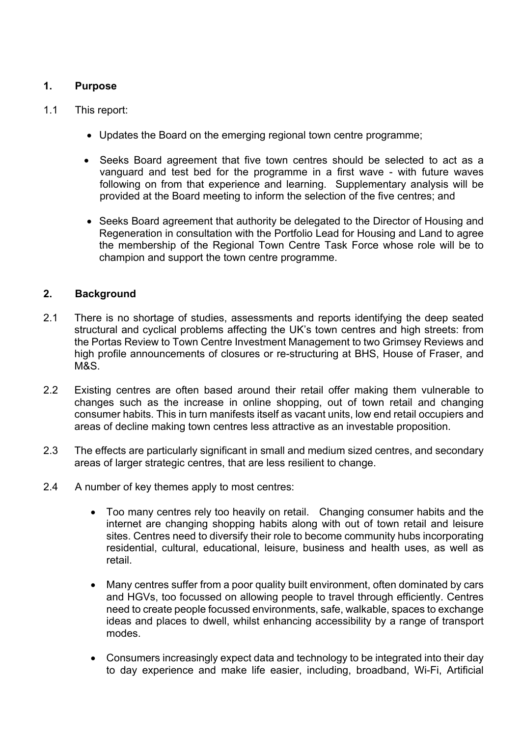# **1. Purpose**

- 1.1 This report:
	- Updates the Board on the emerging regional town centre programme;
	- Seeks Board agreement that five town centres should be selected to act as a vanguard and test bed for the programme in a first wave - with future waves following on from that experience and learning. Supplementary analysis will be provided at the Board meeting to inform the selection of the five centres; and
	- Seeks Board agreement that authority be delegated to the Director of Housing and Regeneration in consultation with the Portfolio Lead for Housing and Land to agree the membership of the Regional Town Centre Task Force whose role will be to champion and support the town centre programme.

# **2. Background**

- 2.1 There is no shortage of studies, assessments and reports identifying the deep seated structural and cyclical problems affecting the UK's town centres and high streets: from the Portas Review to Town Centre Investment Management to two Grimsey Reviews and high profile announcements of closures or re-structuring at BHS, House of Fraser, and M&S.
- 2.2 Existing centres are often based around their retail offer making them vulnerable to changes such as the increase in online shopping, out of town retail and changing consumer habits. This in turn manifests itself as vacant units, low end retail occupiers and areas of decline making town centres less attractive as an investable proposition.
- 2.3 The effects are particularly significant in small and medium sized centres, and secondary areas of larger strategic centres, that are less resilient to change.
- 2.4 A number of key themes apply to most centres:
	- Too many centres rely too heavily on retail. Changing consumer habits and the internet are changing shopping habits along with out of town retail and leisure sites. Centres need to diversify their role to become community hubs incorporating residential, cultural, educational, leisure, business and health uses, as well as retail.
	- Many centres suffer from a poor quality built environment, often dominated by cars and HGVs, too focussed on allowing people to travel through efficiently. Centres need to create people focussed environments, safe, walkable, spaces to exchange ideas and places to dwell, whilst enhancing accessibility by a range of transport modes.
	- Consumers increasingly expect data and technology to be integrated into their day to day experience and make life easier, including, broadband, Wi-Fi, Artificial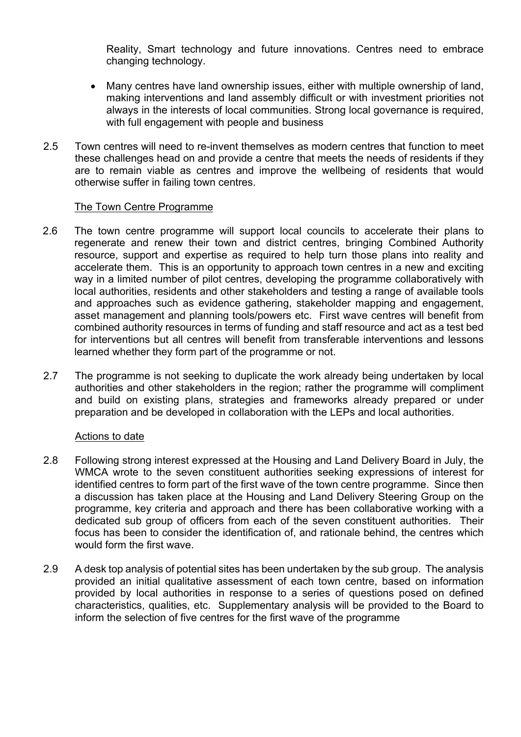Reality, Smart technology and future innovations. Centres need to embrace changing technology.

- Many centres have land ownership issues, either with multiple ownership of land, making interventions and land assembly difficult or with investment priorities not always in the interests of local communities. Strong local governance is required, with full engagement with people and business
- 2.5 Town centres will need to re-invent themselves as modern centres that function to meet these challenges head on and provide a centre that meets the needs of residents if they are to remain viable as centres and improve the wellbeing of residents that would otherwise suffer in failing town centres.

#### The Town Centre Programme

- 2.6 The town centre programme will support local councils to accelerate their plans to regenerate and renew their town and district centres, bringing Combined Authority resource, support and expertise as required to help turn those plans into reality and accelerate them. This is an opportunity to approach town centres in a new and exciting way in a limited number of pilot centres, developing the programme collaboratively with local authorities, residents and other stakeholders and testing a range of available tools and approaches such as evidence gathering, stakeholder mapping and engagement, asset management and planning tools/powers etc. First wave centres will benefit from combined authority resources in terms of funding and staff resource and act as a test bed for interventions but all centres will benefit from transferable interventions and lessons learned whether they form part of the programme or not.
- 2.7 The programme is not seeking to duplicate the work already being undertaken by local authorities and other stakeholders in the region; rather the programme will compliment and build on existing plans, strategies and frameworks already prepared or under preparation and be developed in collaboration with the LEPs and local authorities.

#### Actions to date

- 2.8 Following strong interest expressed at the Housing and Land Delivery Board in July, the WMCA wrote to the seven constituent authorities seeking expressions of interest for identified centres to form part of the first wave of the town centre programme. Since then a discussion has taken place at the Housing and Land Delivery Steering Group on the programme, key criteria and approach and there has been collaborative working with a dedicated sub group of officers from each of the seven constituent authorities. Their focus has been to consider the identification of, and rationale behind, the centres which would form the first wave.
- 2.9 A desk top analysis of potential sites has been undertaken by the sub group. The analysis provided an initial qualitative assessment of each town centre, based on information provided by local authorities in response to a series of questions posed on defined characteristics, qualities, etc. Supplementary analysis will be provided to the Board to inform the selection of five centres for the first wave of the programme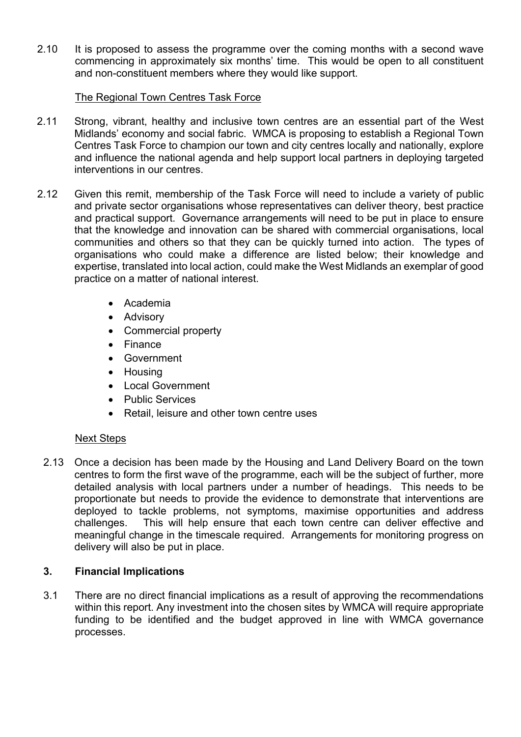2.10 It is proposed to assess the programme over the coming months with a second wave commencing in approximately six months' time. This would be open to all constituent and non-constituent members where they would like support.

#### The Regional Town Centres Task Force

- 2.11 Strong, vibrant, healthy and inclusive town centres are an essential part of the West Midlands' economy and social fabric. WMCA is proposing to establish a Regional Town Centres Task Force to champion our town and city centres locally and nationally, explore and influence the national agenda and help support local partners in deploying targeted interventions in our centres.
- 2.12 Given this remit, membership of the Task Force will need to include a variety of public and private sector organisations whose representatives can deliver theory, best practice and practical support. Governance arrangements will need to be put in place to ensure that the knowledge and innovation can be shared with commercial organisations, local communities and others so that they can be quickly turned into action. The types of organisations who could make a difference are listed below; their knowledge and expertise, translated into local action, could make the West Midlands an exemplar of good practice on a matter of national interest.
	- Academia
	- Advisory
	- Commercial property
	- Finance
	- Government
	- Housing
	- Local Government
	- Public Services
	- Retail, leisure and other town centre uses

# Next Steps

2.13 Once a decision has been made by the Housing and Land Delivery Board on the town centres to form the first wave of the programme, each will be the subject of further, more detailed analysis with local partners under a number of headings. This needs to be proportionate but needs to provide the evidence to demonstrate that interventions are deployed to tackle problems, not symptoms, maximise opportunities and address challenges. This will help ensure that each town centre can deliver effective and meaningful change in the timescale required. Arrangements for monitoring progress on delivery will also be put in place.

# **3. Financial Implications**

3.1 There are no direct financial implications as a result of approving the recommendations within this report. Any investment into the chosen sites by WMCA will require appropriate funding to be identified and the budget approved in line with WMCA governance processes.